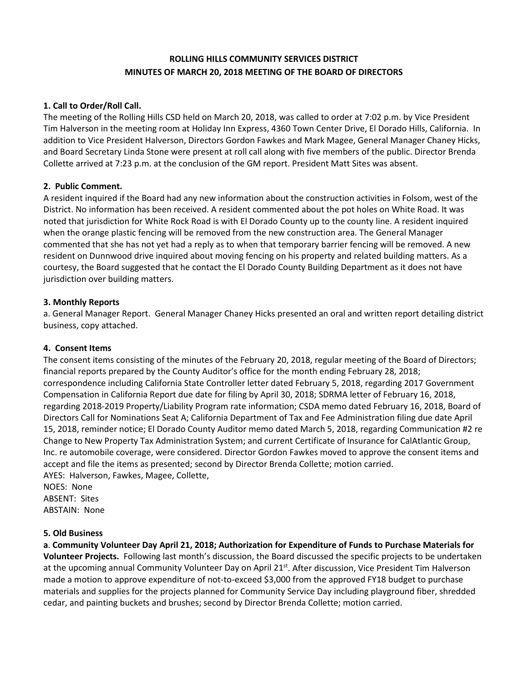# **ROLLING HILLS COMMUNITY SERVICES DISTRICT MINUTES OF MARCH 20, 2018 MEETING OF THE BOARD OF DIRECTORS**

# **1. Call to Order/Roll Call.**

The meeting of the Rolling Hills CSD held on March 20, 2018, was called to order at 7:02 p.m. by Vice President Tim Halverson in the meeting room at Holiday Inn Express, 4360 Town Center Drive, El Dorado Hills, California. In addition to Vice President Halverson, Directors Gordon Fawkes and Mark Magee, General Manager Chaney Hicks, and Board Secretary Linda Stone were present at roll call along with five members of the public. Director Brenda Collette arrived at 7:23 p.m. at the conclusion of the GM report. President Matt Sites was absent.

# **2. Public Comment.**

A resident inquired if the Board had any new information about the construction activities in Folsom, west of the District. No information has been received. A resident commented about the pot holes on White Road. It was noted that jurisdiction for White Rock Road is with El Dorado County up to the county line. A resident inquired when the orange plastic fencing will be removed from the new construction area. The General Manager commented that she has not yet had a reply as to when that temporary barrier fencing will be removed. A new resident on Dunnwood drive inquired about moving fencing on his property and related building matters. As a courtesy, the Board suggested that he contact the El Dorado County Building Department as it does not have jurisdiction over building matters.

# **3. Monthly Reports**

a. General Manager Report. General Manager Chaney Hicks presented an oral and written report detailing district business, copy attached.

#### **4. Consent Items**

The consent items consisting of the minutes of the February 20, 2018, regular meeting of the Board of Directors; financial reports prepared by the County Auditor's office for the month ending February 28, 2018; correspondence including California State Controller letter dated February 5, 2018, regarding 2017 Government Compensation in California Report due date for filing by April 30, 2018; SDRMA letter of February 16, 2018, regarding 2018-2019 Property/Liability Program rate information; CSDA memo dated February 16, 2018, Board of Directors Call for Nominations Seat A; California Department of Tax and Fee Administration filing due date April 15, 2018, reminder notice; El Dorado County Auditor memo dated March 5, 2018, regarding Communication #2 re Change to New Property Tax Administration System; and current Certificate of Insurance for CalAtlantic Group, Inc. re automobile coverage, were considered. Director Gordon Fawkes moved to approve the consent items and accept and file the items as presented; second by Director Brenda Collette; motion carried. AYES: Halverson, Fawkes, Magee, Collette,

NOES: None ABSENT: Sites ABSTAIN: None

#### **5. Old Business**

**a**. **Community Volunteer Day April 21, 2018; Authorization for Expenditure of Funds to Purchase Materials for Volunteer Projects.** Following last month's discussion, the Board discussed the specific projects to be undertaken at the upcoming annual Community Volunteer Day on April 21st. After discussion, Vice President Tim Halverson made a motion to approve expenditure of not-to-exceed \$3,000 from the approved FY18 budget to purchase materials and supplies for the projects planned for Community Service Day including playground fiber, shredded cedar, and painting buckets and brushes; second by Director Brenda Collette; motion carried.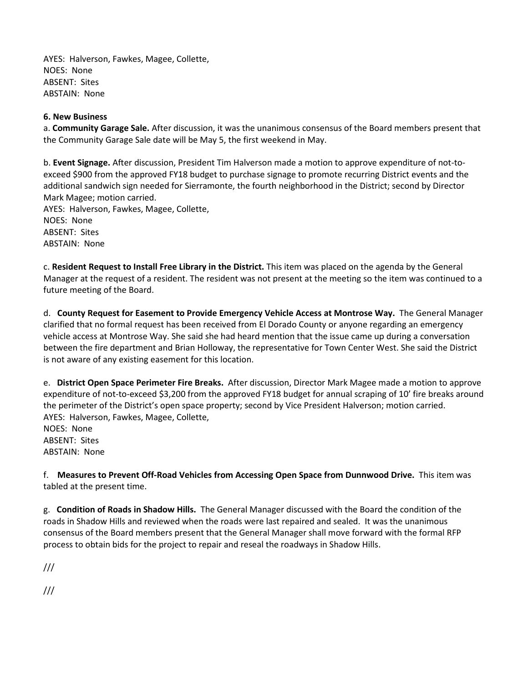AYES: Halverson, Fawkes, Magee, Collette, NOES: None ABSENT: Sites ABSTAIN: None

### **6. New Business**

a. **Community Garage Sale.** After discussion, it was the unanimous consensus of the Board members present that the Community Garage Sale date will be May 5, the first weekend in May.

b. **Event Signage.** After discussion, President Tim Halverson made a motion to approve expenditure of not-toexceed \$900 from the approved FY18 budget to purchase signage to promote recurring District events and the additional sandwich sign needed for Sierramonte, the fourth neighborhood in the District; second by Director Mark Magee; motion carried.

AYES: Halverson, Fawkes, Magee, Collette, NOES: None ABSENT: Sites ABSTAIN: None

c. **Resident Request to Install Free Library in the District.** This item was placed on the agenda by the General Manager at the request of a resident. The resident was not present at the meeting so the item was continued to a future meeting of the Board.

d. **County Request for Easement to Provide Emergency Vehicle Access at Montrose Way.** The General Manager clarified that no formal request has been received from El Dorado County or anyone regarding an emergency vehicle access at Montrose Way. She said she had heard mention that the issue came up during a conversation between the fire department and Brian Holloway, the representative for Town Center West. She said the District is not aware of any existing easement for this location.

e. **District Open Space Perimeter Fire Breaks.** After discussion, Director Mark Magee made a motion to approve expenditure of not-to-exceed \$3,200 from the approved FY18 budget for annual scraping of 10' fire breaks around the perimeter of the District's open space property; second by Vice President Halverson; motion carried. AYES: Halverson, Fawkes, Magee, Collette, NOES: None ABSENT: Sites

ABSTAIN: None

f. **Measures to Prevent Off-Road Vehicles from Accessing Open Space from Dunnwood Drive.** This item was tabled at the present time.

g. **Condition of Roads in Shadow Hills.** The General Manager discussed with the Board the condition of the roads in Shadow Hills and reviewed when the roads were last repaired and sealed. It was the unanimous consensus of the Board members present that the General Manager shall move forward with the formal RFP process to obtain bids for the project to repair and reseal the roadways in Shadow Hills.

///

///